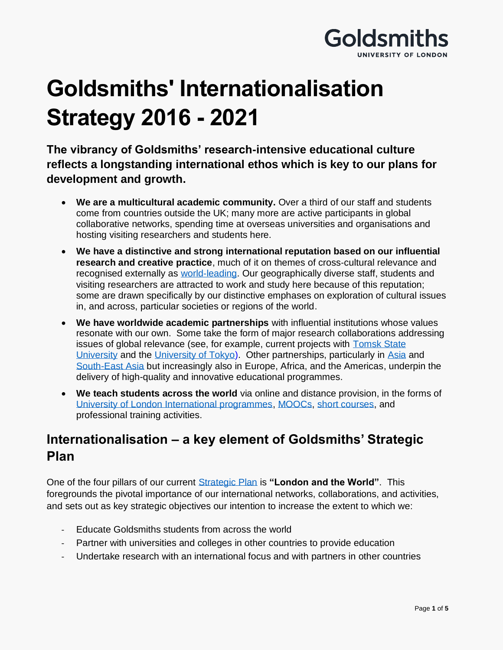

# **Goldsmiths' Internationalisation Strategy 2016 - 2021**

**The vibrancy of Goldsmiths' research-intensive educational culture reflects a longstanding international ethos which is key to our plans for development and growth.**

- **We are a multicultural academic community.** Over a third of our staff and students come from countries outside the UK; many more are active participants in global collaborative networks, spending time at overseas universities and organisations and hosting visiting researchers and students here.
- **We have a distinctive and strong international reputation based on our influential research and creative practice**, much of it on themes of cross-cultural relevance and recognised externally as world‐[leading.](http://www.gold.ac.uk/news/goldsmiths-ref-2014/) Our geographically diverse staff, students and visiting researchers are attracted to work and study here because of this reputation; some are drawn specifically by our distinctive emphases on exploration of cultural issues in, and across, particular societies or regions of the world.
- **We have worldwide academic partnerships** with influential institutions whose values resonate with our own. Some take the form of major research collaborations addressing issues of global relevance (see, for example, current projects with [Tomsk State](http://www.gold.ac.uk/news/goldsmiths-builds-more-bridges-with-tomsk-state-university/)  [University](http://www.gold.ac.uk/news/goldsmiths-builds-more-bridges-with-tomsk-state-university/) and the [University of Tokyo\)](http://www.iii.u-tokyo.ac.jp/en/). Other partnerships, particularly in [Asia](http://www.gold.ac.uk/asia-centre/) and [South-East Asia](http://www.gold.ac.uk/about/global/impact/) but increasingly also in Europe, Africa, and the Americas, underpin the delivery of high-quality and innovative educational programmes.
- **We teach students across the world** via online and distance provision, in the forms of [University of London International programmes,](http://www.gold.ac.uk/quality/international-programmes/) [MOOCs,](http://www.gold.ac.uk/news/futurelearn/) [short courses,](http://www.gold.ac.uk/short-courses/) and professional training activities.

## **Internationalisation – a key element of Goldsmiths' Strategic Plan**

One of the four pillars of our current [Strategic Plan](http://www.gold.ac.uk/strategy/) is **"London and the World"**. This foregrounds the pivotal importance of our international networks, collaborations, and activities, and sets out as key strategic objectives our intention to increase the extent to which we:

- Educate Goldsmiths students from across the world
- Partner with universities and colleges in other countries to provide education
- Undertake research with an international focus and with partners in other countries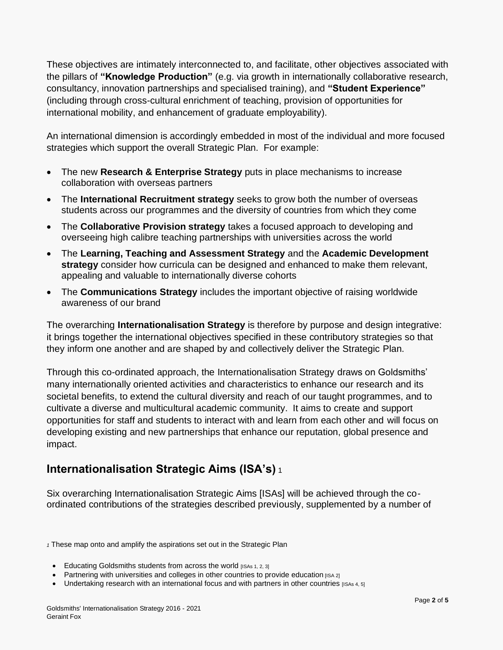These objectives are intimately interconnected to, and facilitate, other objectives associated with the pillars of **"Knowledge Production"** (e.g. via growth in internationally collaborative research, consultancy, innovation partnerships and specialised training), and **"Student Experience"** (including through cross-cultural enrichment of teaching, provision of opportunities for international mobility, and enhancement of graduate employability).

An international dimension is accordingly embedded in most of the individual and more focused strategies which support the overall Strategic Plan. For example:

- The new **Research & Enterprise Strategy** puts in place mechanisms to increase collaboration with overseas partners
- The **International Recruitment strategy** seeks to grow both the number of overseas students across our programmes and the diversity of countries from which they come
- The **Collaborative Provision strategy** takes a focused approach to developing and overseeing high calibre teaching partnerships with universities across the world
- The **Learning, Teaching and Assessment Strategy** and the **Academic Development strategy** consider how curricula can be designed and enhanced to make them relevant, appealing and valuable to internationally diverse cohorts
- The **Communications Strategy** includes the important objective of raising worldwide awareness of our brand

The overarching **Internationalisation Strategy** is therefore by purpose and design integrative: it brings together the international objectives specified in these contributory strategies so that they inform one another and are shaped by and collectively deliver the Strategic Plan.

Through this co-ordinated approach, the Internationalisation Strategy draws on Goldsmiths' many internationally oriented activities and characteristics to enhance our research and its societal benefits, to extend the cultural diversity and reach of our taught programmes, and to cultivate a diverse and multicultural academic community. It aims to create and support opportunities for staff and students to interact with and learn from each other and will focus on developing existing and new partnerships that enhance our reputation, global presence and impact.

## **Internationalisation Strategic Aims (ISA's)** <sup>1</sup>

Six overarching Internationalisation Strategic Aims [ISAs] will be achieved through the coordinated contributions of the strategies described previously, supplemented by a number of

*<sup>1</sup>* These map onto and amplify the aspirations set out in the Strategic Plan

- Educating Goldsmiths students from across the world  $IISS 1, 2, 31$
- Partnering with universities and colleges in other countries to provide education  $[1]$ <sub>ISA 2</sub>]
- Undertaking research with an international focus and with partners in other countries [ISAs 4, 5]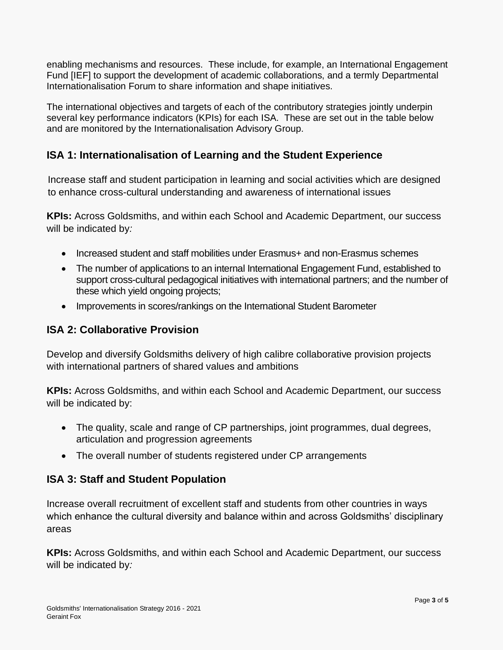enabling mechanisms and resources. These include, for example, an International Engagement Fund [IEF] to support the development of academic collaborations, and a termly Departmental Internationalisation Forum to share information and shape initiatives.

The international objectives and targets of each of the contributory strategies jointly underpin several key performance indicators (KPIs) for each ISA. These are set out in the table below and are monitored by the Internationalisation Advisory Group.

### **ISA 1: Internationalisation of Learning and the Student Experience**

Increase staff and student participation in learning and social activities which are designed to enhance cross-cultural understanding and awareness of international issues

**KPIs:** Across Goldsmiths, and within each School and Academic Department, our success will be indicated by*:*

- Increased student and staff mobilities under Erasmus+ and non-Erasmus schemes
- The number of applications to an internal International Engagement Fund, established to support cross-cultural pedagogical initiatives with international partners; and the number of these which yield ongoing projects;
- Improvements in scores/rankings on the International Student Barometer

#### **ISA 2: Collaborative Provision**

Develop and diversify Goldsmiths delivery of high calibre collaborative provision projects with international partners of shared values and ambitions

**KPIs:** Across Goldsmiths, and within each School and Academic Department, our success will be indicated by:

- The quality, scale and range of CP partnerships, joint programmes, dual degrees, articulation and progression agreements
- The overall number of students registered under CP arrangements

#### **ISA 3: Staff and Student Population**

Increase overall recruitment of excellent staff and students from other countries in ways which enhance the cultural diversity and balance within and across Goldsmiths' disciplinary areas

**KPIs:** Across Goldsmiths, and within each School and Academic Department, our success will be indicated by*:*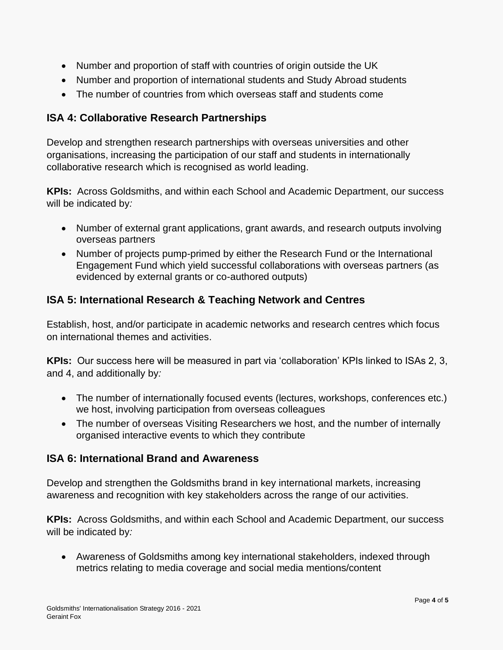- Number and proportion of staff with countries of origin outside the UK
- Number and proportion of international students and Study Abroad students
- The number of countries from which overseas staff and students come

#### **ISA 4: Collaborative Research Partnerships**

Develop and strengthen research partnerships with overseas universities and other organisations, increasing the participation of our staff and students in internationally collaborative research which is recognised as world leading.

**KPIs:** Across Goldsmiths, and within each School and Academic Department, our success will be indicated by*:*

- Number of external grant applications, grant awards, and research outputs involving overseas partners
- Number of projects pump-primed by either the Research Fund or the International Engagement Fund which yield successful collaborations with overseas partners (as evidenced by external grants or co-authored outputs)

#### **ISA 5: International Research & Teaching Network and Centres**

Establish, host, and/or participate in academic networks and research centres which focus on international themes and activities.

**KPIs:** Our success here will be measured in part via 'collaboration' KPIs linked to ISAs 2, 3, and 4, and additionally by*:*

- The number of internationally focused events (lectures, workshops, conferences etc.) we host, involving participation from overseas colleagues
- The number of overseas Visiting Researchers we host, and the number of internally organised interactive events to which they contribute

#### **ISA 6: International Brand and Awareness**

Develop and strengthen the Goldsmiths brand in key international markets, increasing awareness and recognition with key stakeholders across the range of our activities.

**KPIs:** Across Goldsmiths, and within each School and Academic Department, our success will be indicated by*:*

• Awareness of Goldsmiths among key international stakeholders, indexed through metrics relating to media coverage and social media mentions/content